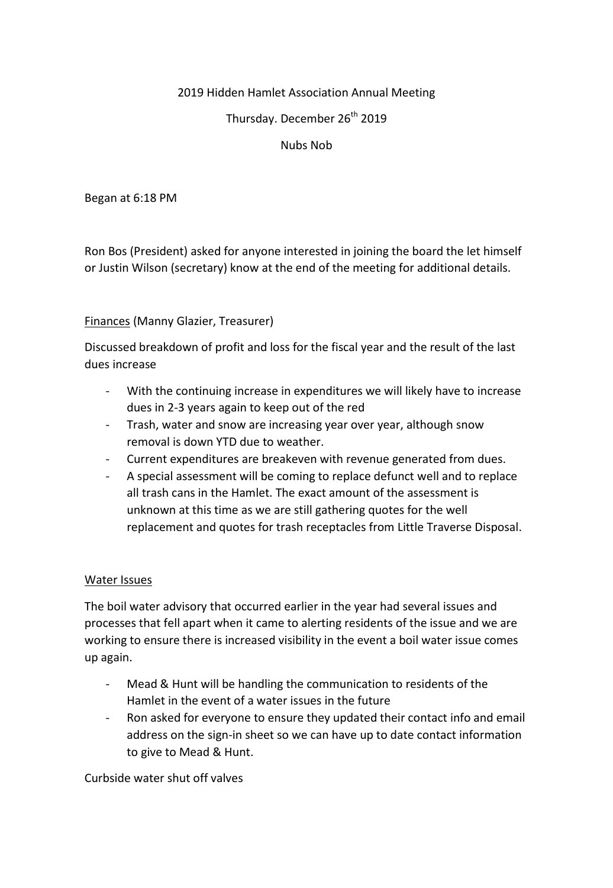## 2019 Hidden Hamlet Association Annual Meeting

Thursday. December 26<sup>th</sup> 2019

#### Nubs Nob

Began at 6:18 PM

Ron Bos (President) asked for anyone interested in joining the board the let himself or Justin Wilson (secretary) know at the end of the meeting for additional details.

### Finances (Manny Glazier, Treasurer)

Discussed breakdown of profit and loss for the fiscal year and the result of the last dues increase

- With the continuing increase in expenditures we will likely have to increase dues in 2-3 years again to keep out of the red
- Trash, water and snow are increasing year over year, although snow removal is down YTD due to weather.
- Current expenditures are breakeven with revenue generated from dues.
- A special assessment will be coming to replace defunct well and to replace all trash cans in the Hamlet. The exact amount of the assessment is unknown at this time as we are still gathering quotes for the well replacement and quotes for trash receptacles from Little Traverse Disposal.

#### Water Issues

The boil water advisory that occurred earlier in the year had several issues and processes that fell apart when it came to alerting residents of the issue and we are working to ensure there is increased visibility in the event a boil water issue comes up again.

- Mead & Hunt will be handling the communication to residents of the Hamlet in the event of a water issues in the future
- Ron asked for everyone to ensure they updated their contact info and email address on the sign-in sheet so we can have up to date contact information to give to Mead & Hunt.

Curbside water shut off valves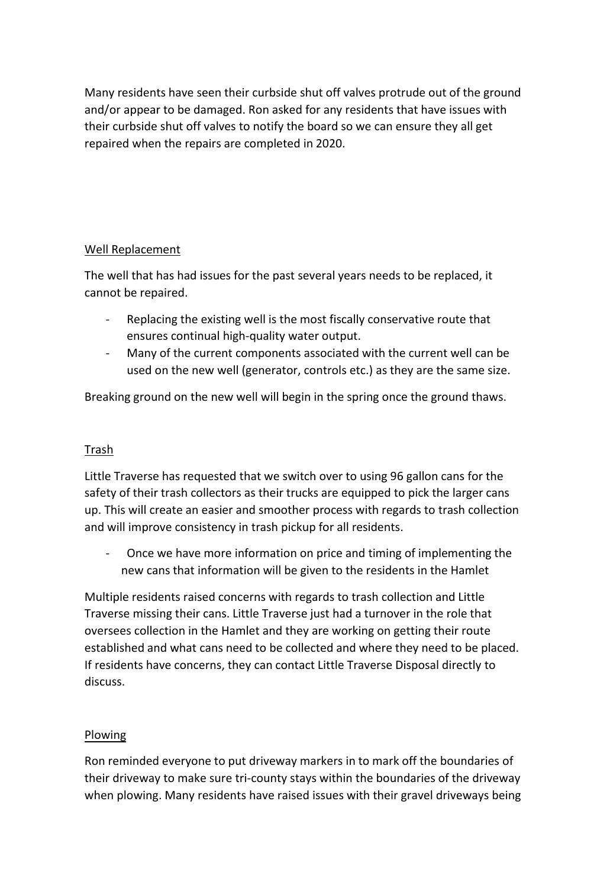Many residents have seen their curbside shut off valves protrude out of the ground and/or appear to be damaged. Ron asked for any residents that have issues with their curbside shut off valves to notify the board so we can ensure they all get repaired when the repairs are completed in 2020.

# Well Replacement

The well that has had issues for the past several years needs to be replaced, it cannot be repaired.

- Replacing the existing well is the most fiscally conservative route that ensures continual high-quality water output.
- Many of the current components associated with the current well can be used on the new well (generator, controls etc.) as they are the same size.

Breaking ground on the new well will begin in the spring once the ground thaws.

# Trash

Little Traverse has requested that we switch over to using 96 gallon cans for the safety of their trash collectors as their trucks are equipped to pick the larger cans up. This will create an easier and smoother process with regards to trash collection and will improve consistency in trash pickup for all residents.

- Once we have more information on price and timing of implementing the new cans that information will be given to the residents in the Hamlet

Multiple residents raised concerns with regards to trash collection and Little Traverse missing their cans. Little Traverse just had a turnover in the role that oversees collection in the Hamlet and they are working on getting their route established and what cans need to be collected and where they need to be placed. If residents have concerns, they can contact Little Traverse Disposal directly to discuss.

## Plowing

Ron reminded everyone to put driveway markers in to mark off the boundaries of their driveway to make sure tri-county stays within the boundaries of the driveway when plowing. Many residents have raised issues with their gravel driveways being